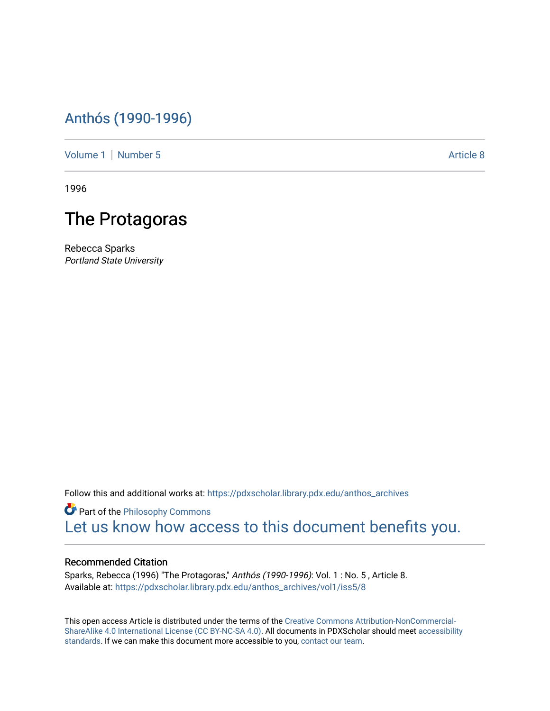## [Anthós \(1990-1996\)](https://pdxscholar.library.pdx.edu/anthos_archives)

[Volume 1](https://pdxscholar.library.pdx.edu/anthos_archives/vol1) | [Number 5](https://pdxscholar.library.pdx.edu/anthos_archives/vol1/iss5) Article 8

1996

## The Protagoras

Rebecca Sparks Portland State University

Follow this and additional works at: [https://pdxscholar.library.pdx.edu/anthos\\_archives](https://pdxscholar.library.pdx.edu/anthos_archives?utm_source=pdxscholar.library.pdx.edu%2Fanthos_archives%2Fvol1%2Fiss5%2F8&utm_medium=PDF&utm_campaign=PDFCoverPages)

**Part of the Philosophy Commons** [Let us know how access to this document benefits you.](http://library.pdx.edu/services/pdxscholar-services/pdxscholar-feedback/) 

## Recommended Citation

Sparks, Rebecca (1996) "The Protagoras," Anthós (1990-1996): Vol. 1 : No. 5 , Article 8. Available at: [https://pdxscholar.library.pdx.edu/anthos\\_archives/vol1/iss5/8](https://pdxscholar.library.pdx.edu/anthos_archives/vol1/iss5/8?utm_source=pdxscholar.library.pdx.edu%2Fanthos_archives%2Fvol1%2Fiss5%2F8&utm_medium=PDF&utm_campaign=PDFCoverPages) 

This open access Article is distributed under the terms of the [Creative Commons Attribution-NonCommercial-](https://creativecommons.org/licenses/by-nc-sa/4.0/)[ShareAlike 4.0 International License \(CC BY-NC-SA 4.0\).](https://creativecommons.org/licenses/by-nc-sa/4.0/) All documents in PDXScholar should meet [accessibility](https://pdxscholar.library.pdx.edu/accessibility.html) [standards](https://pdxscholar.library.pdx.edu/accessibility.html). If we can make this document more accessible to you, [contact our team.](mailto:pdxscholar@pdx.edu)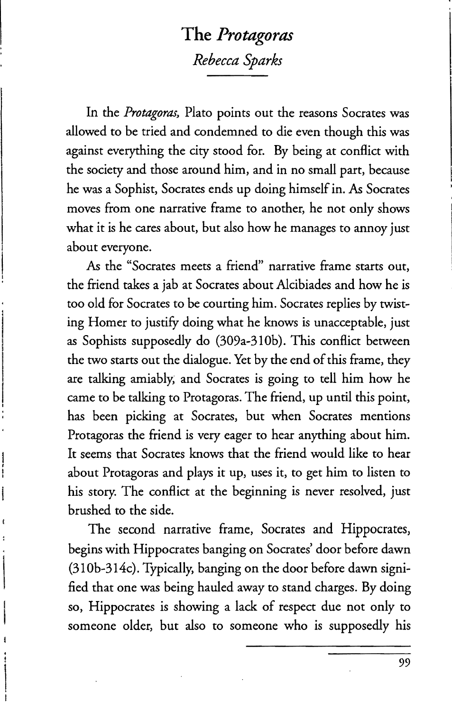## **The** *Protagoras Rebecca Sparks*

In the Protagoras, Plato points out the reasons Socrates was allowed to be tried and condemned to die even though this was against everything the city stood for. By being at conflict with the society and those around him, and in no small part, because he was a Sophist, Socrates ends up doing himself in. *As* Socrates moves from one narrative frame to another, he not only shows what it is he cares about, but also how he manages to annoy just about everyone.

*As* the "Socrates meets a friend" narrative frame starts out, the friend takes a jab at Socrates about Alcibiades and how he is too old for Socrates to be courting him. Socrates replies by twisting Homer to justify doing what he knows is unacceptable, just as Sophists supposedly do (309a-310b). This conflict between the two starts out the dialogue. Yet by the end of this frame, they are talking amiably, and Socrates is going to tell him how he came to be talking to Protagoras. The friend, up until this point, has been picking at Socrates, but when Socrates mentions Protagoras the friend is very eager to hear anything about him. It seems that Socrates knows that the friend would like to hear about Protagoras and plays it up, uses it, to get him to listen to his story. The conflict at the beginning is never resolved, just brushed to the side.

The second narrative frame, Socrates and Hippocrates, begins with Hippocrates banging on Socrates' door before dawn (310b-314c). Typically, banging on the door before dawn signified that one was being hauled away to stand charges. By doing so, Hippocrates is showing a lack of respect due not only to someone older, but also to someone who is supposedly his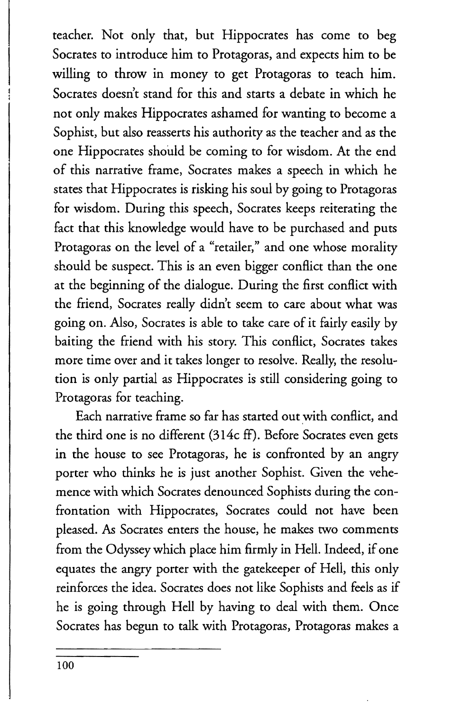teacher. Not only that, but Hippocrates has come to beg Socrates to introduce him to Protagoras, and expects him to be willing to throw in money to get Protagoras to teach him. Socrates doesn't stand for this and starts a debate in which he not only makes Hippocrates ashamed for wanting to become a Sophist, but also reasserts his authority as the teacher and as the one Hippocrates should be coming to for wisdom. At the end of this narrative frame, Socrates makes a speech in which he states that Hippocrates is risking his soul by going to Protagoras for wisdom. During this speech, Socrates keeps reiterating the fact that this knowledge would have to be purchased and puts Protagoras on the level of a "retailer," and one whose morality should be suspect. This is an even bigger conflict than the one at the beginning of the dialogue. During the first conflict with the friend, Socrates really didn't seem to care about what was going on. Also, Socrates is able to take care of it fairly easily by baiting the friend with his story. This conflict, Socrates takes more time over and it takes longer to resolve. Really, the resolution is only partial as Hippocrates is still considering going to Protagoras for teaching.

Each narrative frame so far has started out with conflict, and the third one is no different (314c ff). Before Socrates even gets in the house to see Protagoras, he is confronted by an angry porter who thinks he is just another Sophist. Given the vehemence with which Socrates denounced Sophists during the confrontation with Hippocrates, Socrates could not have been pleased. As Socrates enters the house, he makes two comments from the Odyssey which place him firmly in Hell. Indeed, if one equates the angry porter with the gatekeeper of Hell, this only reinforces the idea. Socrates does not like Sophists and feels as if he is going through Hell by having to deal with them. Once Socrates has begun to talk with Protagoras, Protagoras makes a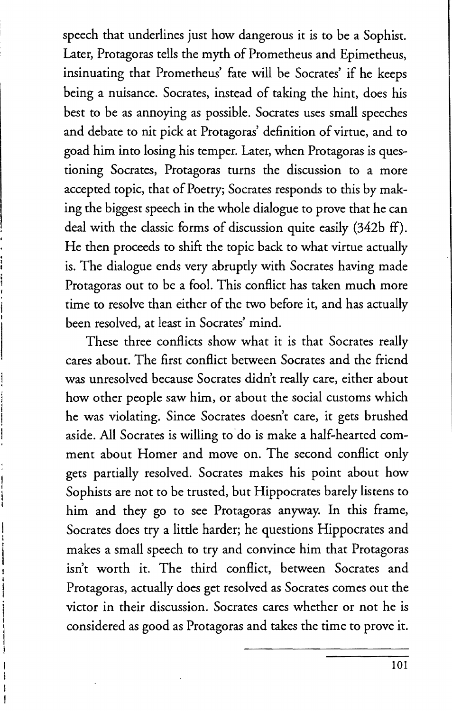speech that underlines just how dangerous it is to be a Sophist. Later, Protagoras tells the myth of Prometheus and Epimetheus, insinuating that Prometheus' fate will be Socrates' if he keeps being a nuisance. Socrates, instead of taking the hint, does his best to be as annoying as possible. Socrates uses small speeches and debate to nit pick at Protagoras' definition of virtue, and to goad him into losing his temper. Later, when Protagoras is questioning Socrates, Protagoras turns the discussion to a more accepted topic, that of Poetry; Socrates responds to this by making the biggest speech in the whole dialogue to prove that he can deal with the classic forms of discussion quite easily (342b ff). He then proceeds to shift the topic back to what virtue actually is. The dialogue ends very abruptly with Socrates having made Protagoras out to be a fool. This conflict has taken much more time to resolve than either of the two before it, and has actually been resolved, at least in Socrates' mind.

These three conflicts show what it is that Socrates really cares about. The first conflict between Socrates and the friend was unresolved because Socrates didn't really care, either about how other people saw him, or about the social customs which he was violating. Since Socrates doesn't care, it gets brushed aside. All Socrates is willing to' do is make a half-hearted comment about Homer and move on. The second conflict only gets partially resolved. Socrates makes his point about how Sophists are not to be trusted, but Hippocrates barely listens to him and they go to see Protagoras anyway. In this frame, Socrates does try a little harder; he questions Hippocrates and makes a small speech to try and convince him that Protagoras isn't worth it. The third conflict, between Socrates and Protagoras, actually does get resolved as Socrates comes out the victor in their discussion. Socrates cares whether or not he is considered as good as Protagoras and takes the time to prove it.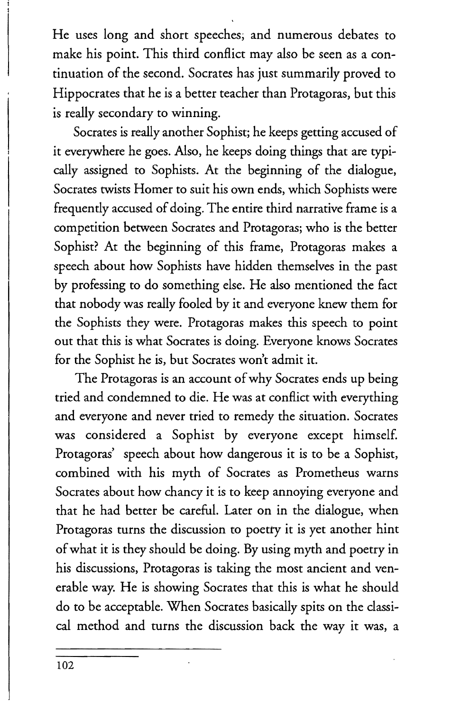He uses long and short speeches; and numerous debates to make his point. This third conflict may also be seen as a continuation of the second. Socrates has just summarily proved to Hippocrates that he is a better teacher than Protagoras, but this is really secondary to winning.

Socrates is really another Sophist; he keeps getting accused of it everywhere he goes. Also, he keeps doing things that are typically assigned to Sophists. At the beginning of the dialogue, Socrates twists Homer to suit his own ends, which Sophists were frequently accused of doing. The entire third narrative frame is a competition between Socrates and Protagoras; who is the better Sophist? At the beginning of this frame, Protagoras makes a speech about how Sophists have hidden themselves in the past by professing to do something else. He also mentioned the fact that nobody was really fooled by it and everyone knew them for the Sophists they were. Protagoras makes this speech to point out that this is what Socrates is doing. Everyone knows Socrates for the Sophist he is, but Socrates won't admit it.

The Protagoras is an account of why Socrates ends up being tried and condemned to die. He was at conflict with everything and everyone and never tried to remedy the situation. Socrates was considered a Sophist by everyone except himself. Protagoras' speech about how dangerous it is to be a Sophist, combined with his myth of Socrates as Prometheus warns Socrates about how chancy it is to keep annoying everyone and that he had better be careful. Later on in the dialogue, when Protagoras turns the discussion to poetry it is yet another hint of what it is they should be doing. By using myth and poetry in his discussions, Protagoras is taking the most ancient and venerable way. He is showing Socrates that this is what he should do to be acceptable. When Socrates basically spits on the classical method and turns the discussion back the way it was, a